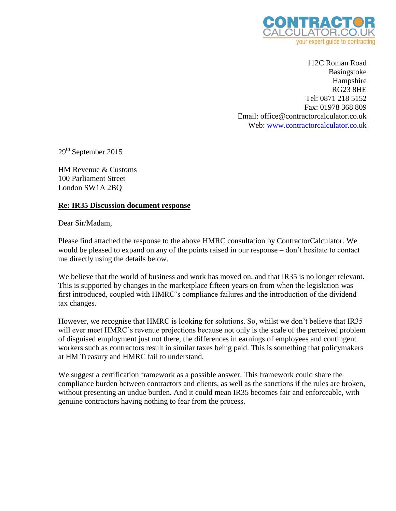

112C Roman Road Basingstoke Hampshire RG23 8HE Tel: 0871 218 5152 Fax: 01978 368 809 Email: office@contractorcalculator.co.uk Web: [www.contractorcalculator.co.uk](http://www.contractorcalculator.co.uk/)

29<sup>th</sup> September 2015

HM Revenue & Customs 100 Parliament Street London SW1A 2BQ

### **Re: IR35 Discussion document response**

Dear Sir/Madam,

Please find attached the response to the above HMRC consultation by ContractorCalculator. We would be pleased to expand on any of the points raised in our response – don't hesitate to contact me directly using the details below.

We believe that the world of business and work has moved on, and that IR35 is no longer relevant. This is supported by changes in the marketplace fifteen years on from when the legislation was first introduced, coupled with HMRC's compliance failures and the introduction of the dividend tax changes.

However, we recognise that HMRC is looking for solutions. So, whilst we don't believe that IR35 will ever meet HMRC's revenue projections because not only is the scale of the perceived problem of disguised employment just not there, the differences in earnings of employees and contingent workers such as contractors result in similar taxes being paid. This is something that policymakers at HM Treasury and HMRC fail to understand.

We suggest a certification framework as a possible answer. This framework could share the compliance burden between contractors and clients, as well as the sanctions if the rules are broken, without presenting an undue burden. And it could mean IR35 becomes fair and enforceable, with genuine contractors having nothing to fear from the process.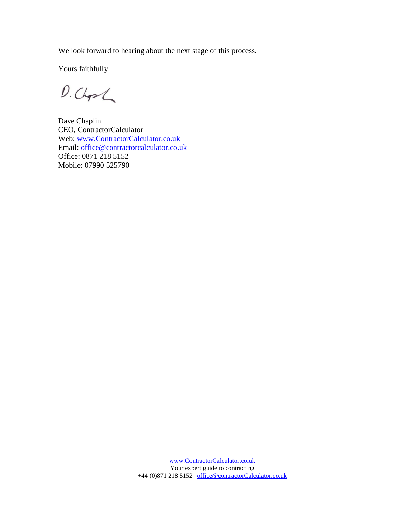We look forward to hearing about the next stage of this process.

Yours faithfully

 $D.ChpL$ 

Dave Chaplin CEO, ContractorCalculator Web: [www.ContractorCalculator.co.uk](http://www.contractorcalculator.co.uk/) Email: [office@contractorcalculator.co.uk](mailto:office@contractorcalculator.co.uk) Office: 0871 218 5152 Mobile: 07990 525790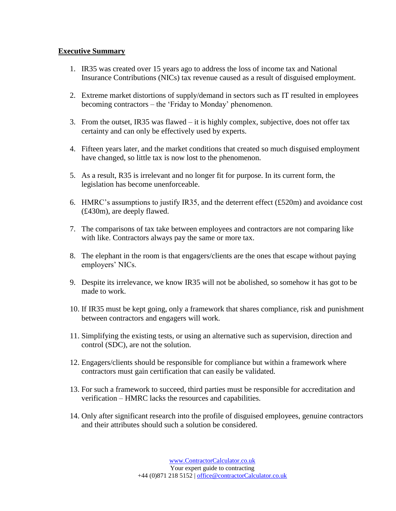### **Executive Summary**

- 1. IR35 was created over 15 years ago to address the loss of income tax and National Insurance Contributions (NICs) tax revenue caused as a result of disguised employment.
- 2. Extreme market distortions of supply/demand in sectors such as IT resulted in employees becoming contractors – the 'Friday to Monday' phenomenon.
- 3. From the outset, IR35 was flawed it is highly complex, subjective, does not offer tax certainty and can only be effectively used by experts.
- 4. Fifteen years later, and the market conditions that created so much disguised employment have changed, so little tax is now lost to the phenomenon.
- 5. As a result, R35 is irrelevant and no longer fit for purpose. In its current form, the legislation has become unenforceable.
- 6. HMRC's assumptions to justify IR35, and the deterrent effect  $(\text{\pounds}520m)$  and avoidance cost (£430m), are deeply flawed.
- 7. The comparisons of tax take between employees and contractors are not comparing like with like. Contractors always pay the same or more tax.
- 8. The elephant in the room is that engagers/clients are the ones that escape without paying employers' NICs.
- 9. Despite its irrelevance, we know IR35 will not be abolished, so somehow it has got to be made to work.
- 10. If IR35 must be kept going, only a framework that shares compliance, risk and punishment between contractors and engagers will work.
- 11. Simplifying the existing tests, or using an alternative such as supervision, direction and control (SDC), are not the solution.
- 12. Engagers/clients should be responsible for compliance but within a framework where contractors must gain certification that can easily be validated.
- 13. For such a framework to succeed, third parties must be responsible for accreditation and verification – HMRC lacks the resources and capabilities.
- 14. Only after significant research into the profile of disguised employees, genuine contractors and their attributes should such a solution be considered.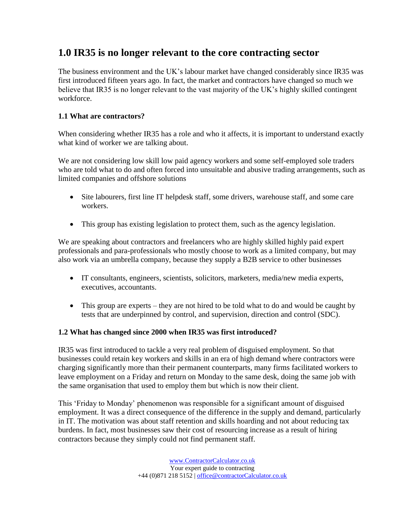# **1.0 IR35 is no longer relevant to the core contracting sector**

The business environment and the UK's labour market have changed considerably since IR35 was first introduced fifteen years ago. In fact, the market and contractors have changed so much we believe that IR35 is no longer relevant to the vast majority of the UK's highly skilled contingent workforce.

## **1.1 What are contractors?**

When considering whether IR35 has a role and who it affects, it is important to understand exactly what kind of worker we are talking about.

We are not considering low skill low paid agency workers and some self-employed sole traders who are told what to do and often forced into unsuitable and abusive trading arrangements, such as limited companies and offshore solutions

- Site labourers, first line IT helpdesk staff, some drivers, warehouse staff, and some care workers.
- This group has existing legislation to protect them, such as the agency legislation.

We are speaking about contractors and freelancers who are highly skilled highly paid expert professionals and para-professionals who mostly choose to work as a limited company, but may also work via an umbrella company, because they supply a B2B service to other businesses

- IT consultants, engineers, scientists, solicitors, marketers, media/new media experts, executives, accountants.
- This group are experts they are not hired to be told what to do and would be caught by tests that are underpinned by control, and supervision, direction and control (SDC).

### **1.2 What has changed since 2000 when IR35 was first introduced?**

IR35 was first introduced to tackle a very real problem of disguised employment. So that businesses could retain key workers and skills in an era of high demand where contractors were charging significantly more than their permanent counterparts, many firms facilitated workers to leave employment on a Friday and return on Monday to the same desk, doing the same job with the same organisation that used to employ them but which is now their client.

This 'Friday to Monday' phenomenon was responsible for a significant amount of disguised employment. It was a direct consequence of the difference in the supply and demand, particularly in IT. The motivation was about staff retention and skills hoarding and not about reducing tax burdens. In fact, most businesses saw their cost of resourcing increase as a result of hiring contractors because they simply could not find permanent staff.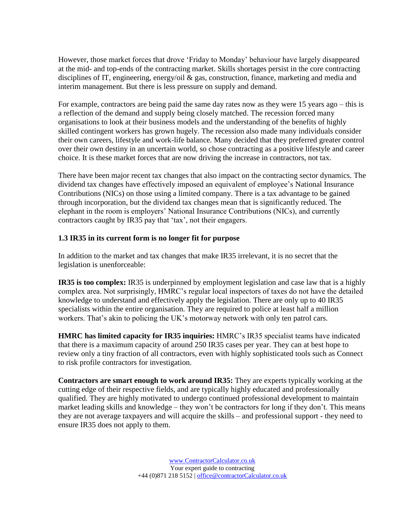However, those market forces that drove 'Friday to Monday' behaviour have largely disappeared at the mid- and top-ends of the contracting market. Skills shortages persist in the core contracting disciplines of IT, engineering, energy/oil  $\&$  gas, construction, finance, marketing and media and interim management. But there is less pressure on supply and demand.

For example, contractors are being paid the same day rates now as they were 15 years ago – this is a reflection of the demand and supply being closely matched. The recession forced many organisations to look at their business models and the understanding of the benefits of highly skilled contingent workers has grown hugely. The recession also made many individuals consider their own careers, lifestyle and work-life balance. Many decided that they preferred greater control over their own destiny in an uncertain world, so chose contracting as a positive lifestyle and career choice. It is these market forces that are now driving the increase in contractors, not tax.

There have been major recent tax changes that also impact on the contracting sector dynamics. The dividend tax changes have effectively imposed an equivalent of employee's National Insurance Contributions (NICs) on those using a limited company. There is a tax advantage to be gained through incorporation, but the dividend tax changes mean that is significantly reduced. The elephant in the room is employers' National Insurance Contributions (NICs), and currently contractors caught by IR35 pay that 'tax', not their engagers.

## **1.3 IR35 in its current form is no longer fit for purpose**

In addition to the market and tax changes that make IR35 irrelevant, it is no secret that the legislation is unenforceable:

**IR35 is too complex:** IR35 is underpinned by employment legislation and case law that is a highly complex area. Not surprisingly, HMRC's regular local inspectors of taxes do not have the detailed knowledge to understand and effectively apply the legislation. There are only up to 40 IR35 specialists within the entire organisation. They are required to police at least half a million workers. That's akin to policing the UK's motorway network with only ten patrol cars.

**HMRC has limited capacity for IR35 inquiries:** HMRC's IR35 specialist teams have indicated that there is a maximum capacity of around 250 IR35 cases per year. They can at best hope to review only a tiny fraction of all contractors, even with highly sophisticated tools such as Connect to risk profile contractors for investigation.

**Contractors are smart enough to work around IR35:** They are experts typically working at the cutting edge of their respective fields, and are typically highly educated and professionally qualified. They are highly motivated to undergo continued professional development to maintain market leading skills and knowledge – they won't be contractors for long if they don't. This means they are not average taxpayers and will acquire the skills – and professional support - they need to ensure IR35 does not apply to them.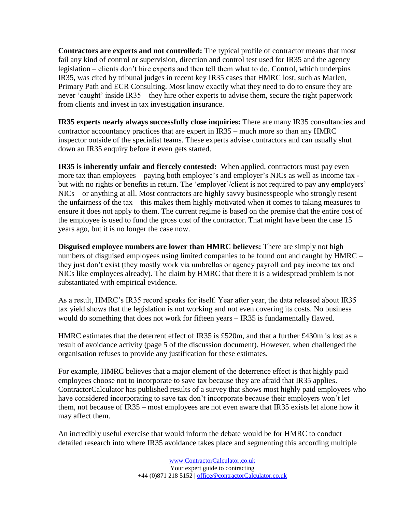**Contractors are experts and not controlled:** The typical profile of contractor means that most fail any kind of control or supervision, direction and control test used for IR35 and the agency legislation – clients don't hire experts and then tell them what to do. Control, which underpins IR35, was cited by tribunal judges in recent key IR35 cases that HMRC lost, such as Marlen, Primary Path and ECR Consulting. Most know exactly what they need to do to ensure they are never 'caught' inside IR35 – they hire other experts to advise them, secure the right paperwork from clients and invest in tax investigation insurance.

**IR35 experts nearly always successfully close inquiries:** There are many IR35 consultancies and contractor accountancy practices that are expert in IR35 – much more so than any HMRC inspector outside of the specialist teams. These experts advise contractors and can usually shut down an IR35 enquiry before it even gets started.

**IR35 is inherently unfair and fiercely contested:** When applied, contractors must pay even more tax than employees – paying both employee's and employer's NICs as well as income tax but with no rights or benefits in return. The 'employer'/client is not required to pay any employers' NICs – or anything at all. Most contractors are highly savvy businesspeople who strongly resent the unfairness of the tax – this makes them highly motivated when it comes to taking measures to ensure it does not apply to them. The current regime is based on the premise that the entire cost of the employee is used to fund the gross cost of the contractor. That might have been the case 15 years ago, but it is no longer the case now.

**Disguised employee numbers are lower than HMRC believes:** There are simply not high numbers of disguised employees using limited companies to be found out and caught by HMRC – they just don't exist (they mostly work via umbrellas or agency payroll and pay income tax and NICs like employees already). The claim by HMRC that there it is a widespread problem is not substantiated with empirical evidence.

As a result, HMRC's IR35 record speaks for itself. Year after year, the data released about IR35 tax yield shows that the legislation is not working and not even covering its costs. No business would do something that does not work for fifteen years – IR35 is fundamentally flawed.

HMRC estimates that the deterrent effect of IR35 is £520m, and that a further £430m is lost as a result of avoidance activity (page 5 of the discussion document). However, when challenged the organisation refuses to provide any justification for these estimates.

For example, HMRC believes that a major element of the deterrence effect is that highly paid employees choose not to incorporate to save tax because they are afraid that IR35 applies. ContractorCalculator has published results of a survey that shows most highly paid employees who have considered incorporating to save tax don't incorporate because their employers won't let them, not because of IR35 – most employees are not even aware that IR35 exists let alone how it may affect them.

An incredibly useful exercise that would inform the debate would be for HMRC to conduct detailed research into where IR35 avoidance takes place and segmenting this according multiple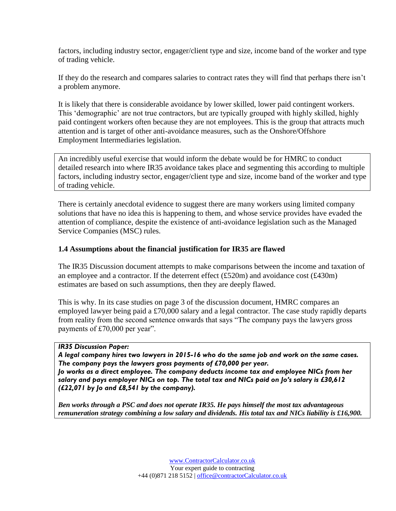factors, including industry sector, engager/client type and size, income band of the worker and type of trading vehicle.

If they do the research and compares salaries to contract rates they will find that perhaps there isn't a problem anymore.

It is likely that there is considerable avoidance by lower skilled, lower paid contingent workers. This 'demographic' are not true contractors, but are typically grouped with highly skilled, highly paid contingent workers often because they are not employees. This is the group that attracts much attention and is target of other anti-avoidance measures, such as the Onshore/Offshore Employment Intermediaries legislation.

An incredibly useful exercise that would inform the debate would be for HMRC to conduct detailed research into where IR35 avoidance takes place and segmenting this according to multiple factors, including industry sector, engager/client type and size, income band of the worker and type of trading vehicle.

There is certainly anecdotal evidence to suggest there are many workers using limited company solutions that have no idea this is happening to them, and whose service provides have evaded the attention of compliance, despite the existence of anti-avoidance legislation such as the Managed Service Companies (MSC) rules.

### **1.4 Assumptions about the financial justification for IR35 are flawed**

The IR35 Discussion document attempts to make comparisons between the income and taxation of an employee and a contractor. If the deterrent effect  $(\text{\pounds}520m)$  and avoidance cost  $(\text{\pounds}430m)$ estimates are based on such assumptions, then they are deeply flawed.

This is why. In its case studies on page 3 of the discussion document, HMRC compares an employed lawyer being paid a £70,000 salary and a legal contractor. The case study rapidly departs from reality from the second sentence onwards that says "The company pays the lawyers gross payments of £70,000 per year".

#### *IR35 Discussion Paper:*

*A legal company hires two lawyers in 2015-16 who do the same job and work on the same cases. The company pays the lawyers gross payments of £70,000 per year. Jo works as a direct employee. The company deducts income tax and employee NICs from her salary and pays employer NICs on top. The total tax and NICs paid on Jo's salary is £30,612 (£22,071 by Jo and £8,541 by the company).*

*Ben works through a PSC and does not operate IR35. He pays himself the most tax advantageous remuneration strategy combining a low salary and dividends. His total tax and NICs liability is £16,900.*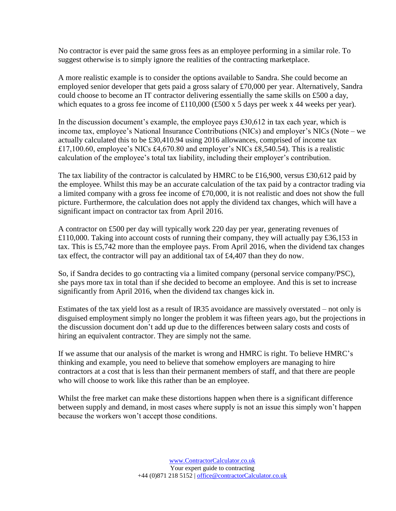No contractor is ever paid the same gross fees as an employee performing in a similar role. To suggest otherwise is to simply ignore the realities of the contracting marketplace.

A more realistic example is to consider the options available to Sandra. She could become an employed senior developer that gets paid a gross salary of £70,000 per year. Alternatively, Sandra could choose to become an IT contractor delivering essentially the same skills on £500 a day, which equates to a gross fee income of £110,000 (£500 x 5 days per week x 44 weeks per year).

In the discussion document's example, the employee pays £30,612 in tax each year, which is income tax, employee's National Insurance Contributions (NICs) and employer's NICs (Note – we actually calculated this to be £30,410.94 using 2016 allowances, comprised of income tax £17,100.60, employee's NICs £4,670.80 and employer's NICs £8,540.54). This is a realistic calculation of the employee's total tax liability, including their employer's contribution.

The tax liability of the contractor is calculated by HMRC to be £16,900, versus £30,612 paid by the employee. Whilst this may be an accurate calculation of the tax paid by a contractor trading via a limited company with a gross fee income of £70,000, it is not realistic and does not show the full picture. Furthermore, the calculation does not apply the dividend tax changes, which will have a significant impact on contractor tax from April 2016.

A contractor on £500 per day will typically work 220 day per year, generating revenues of £110,000. Taking into account costs of running their company, they will actually pay £36,153 in tax. This is £5,742 more than the employee pays. From April 2016, when the dividend tax changes tax effect, the contractor will pay an additional tax of £4,407 than they do now.

So, if Sandra decides to go contracting via a limited company (personal service company/PSC), she pays more tax in total than if she decided to become an employee. And this is set to increase significantly from April 2016, when the dividend tax changes kick in.

Estimates of the tax yield lost as a result of IR35 avoidance are massively overstated – not only is disguised employment simply no longer the problem it was fifteen years ago, but the projections in the discussion document don't add up due to the differences between salary costs and costs of hiring an equivalent contractor. They are simply not the same.

If we assume that our analysis of the market is wrong and HMRC is right. To believe HMRC's thinking and example, you need to believe that somehow employers are managing to hire contractors at a cost that is less than their permanent members of staff, and that there are people who will choose to work like this rather than be an employee.

Whilst the free market can make these distortions happen when there is a significant difference between supply and demand, in most cases where supply is not an issue this simply won't happen because the workers won't accept those conditions.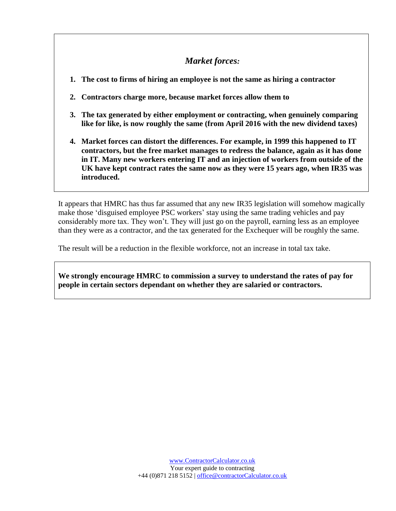# *Market forces:*

- **1. The cost to firms of hiring an employee is not the same as hiring a contractor**
- **2. Contractors charge more, because market forces allow them to**
- **3. The tax generated by either employment or contracting, when genuinely comparing like for like, is now roughly the same (from April 2016 with the new dividend taxes)**
- **4. Market forces can distort the differences. For example, in 1999 this happened to IT contractors, but the free market manages to redress the balance, again as it has done in IT. Many new workers entering IT and an injection of workers from outside of the UK have kept contract rates the same now as they were 15 years ago, when IR35 was introduced.**

It appears that HMRC has thus far assumed that any new IR35 legislation will somehow magically make those 'disguised employee PSC workers' stay using the same trading vehicles and pay considerably more tax. They won't. They will just go on the payroll, earning less as an employee than they were as a contractor, and the tax generated for the Exchequer will be roughly the same.

The result will be a reduction in the flexible workforce, not an increase in total tax take.

**We strongly encourage HMRC to commission a survey to understand the rates of pay for people in certain sectors dependant on whether they are salaried or contractors.**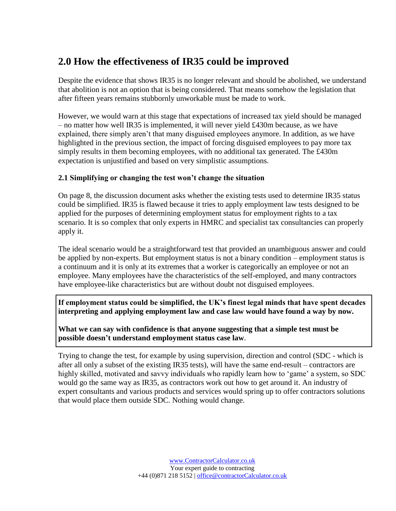# **2.0 How the effectiveness of IR35 could be improved**

Despite the evidence that shows IR35 is no longer relevant and should be abolished, we understand that abolition is not an option that is being considered. That means somehow the legislation that after fifteen years remains stubbornly unworkable must be made to work.

However, we would warn at this stage that expectations of increased tax yield should be managed – no matter how well IR35 is implemented, it will never yield £430m because, as we have explained, there simply aren't that many disguised employees anymore. In addition, as we have highlighted in the previous section, the impact of forcing disguised employees to pay more tax simply results in them becoming employees, with no additional tax generated. The £430m expectation is unjustified and based on very simplistic assumptions.

# **2.1 Simplifying or changing the test won't change the situation**

On page 8, the discussion document asks whether the existing tests used to determine IR35 status could be simplified. IR35 is flawed because it tries to apply employment law tests designed to be applied for the purposes of determining employment status for employment rights to a tax scenario. It is so complex that only experts in HMRC and specialist tax consultancies can properly apply it.

The ideal scenario would be a straightforward test that provided an unambiguous answer and could be applied by non-experts. But employment status is not a binary condition – employment status is a continuum and it is only at its extremes that a worker is categorically an employee or not an employee. Many employees have the characteristics of the self-employed, and many contractors have employee-like characteristics but are without doubt not disguised employees.

**If employment status could be simplified, the UK's finest legal minds that have spent decades interpreting and applying employment law and case law would have found a way by now.** 

**What we can say with confidence is that anyone suggesting that a simple test must be possible doesn't understand employment status case law**.

Trying to change the test, for example by using supervision, direction and control (SDC - which is after all only a subset of the existing IR35 tests), will have the same end-result – contractors are highly skilled, motivated and savvy individuals who rapidly learn how to 'game' a system, so SDC would go the same way as IR35, as contractors work out how to get around it. An industry of expert consultants and various products and services would spring up to offer contractors solutions that would place them outside SDC. Nothing would change.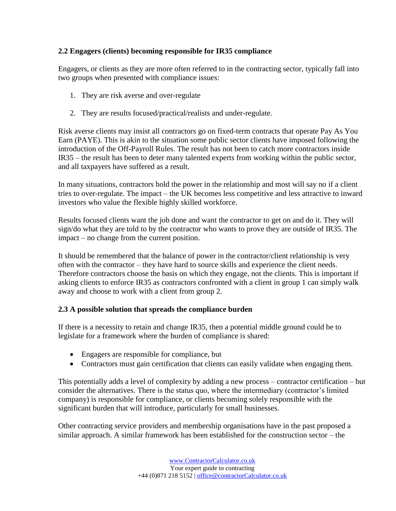# **2.2 Engagers (clients) becoming responsible for IR35 compliance**

Engagers, or clients as they are more often referred to in the contracting sector, typically fall into two groups when presented with compliance issues:

- 1. They are risk averse and over-regulate
- 2. They are results focused/practical/realists and under-regulate.

Risk averse clients may insist all contractors go on fixed-term contracts that operate Pay As You Earn (PAYE). This is akin to the situation some public sector clients have imposed following the introduction of the Off-Payroll Rules. The result has not been to catch more contractors inside IR35 – the result has been to deter many talented experts from working within the public sector, and all taxpayers have suffered as a result.

In many situations, contractors hold the power in the relationship and most will say no if a client tries to over-regulate. The impact – the UK becomes less competitive and less attractive to inward investors who value the flexible highly skilled workforce.

Results focused clients want the job done and want the contractor to get on and do it. They will sign/do what they are told to by the contractor who wants to prove they are outside of IR35. The impact – no change from the current position.

It should be remembered that the balance of power in the contractor/client relationship is very often with the contractor – they have hard to source skills and experience the client needs. Therefore contractors choose the basis on which they engage, not the clients. This is important if asking clients to enforce IR35 as contractors confronted with a client in group 1 can simply walk away and choose to work with a client from group 2.

# **2.3 A possible solution that spreads the compliance burden**

If there is a necessity to retain and change IR35, then a potential middle ground could be to legislate for a framework where the burden of compliance is shared:

- Engagers are responsible for compliance, but
- Contractors must gain certification that clients can easily validate when engaging them.

This potentially adds a level of complexity by adding a new process – contractor certification – but consider the alternatives. There is the status quo, where the intermediary (contractor's limited company) is responsible for compliance, or clients becoming solely responsible with the significant burden that will introduce, particularly for small businesses.

Other contracting service providers and membership organisations have in the past proposed a similar approach. A similar framework has been established for the construction sector – the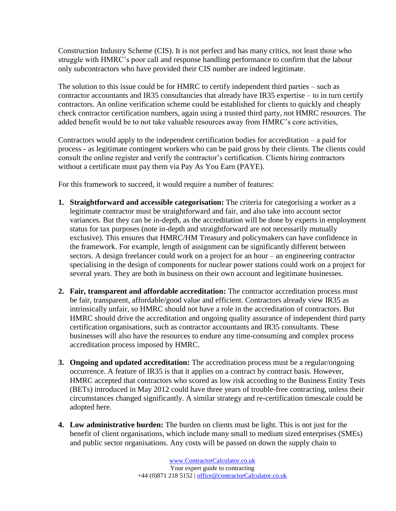Construction Industry Scheme (CIS). It is not perfect and has many critics, not least those who struggle with HMRC's poor call and response handling performance to confirm that the labour only subcontractors who have provided their CIS number are indeed legitimate.

The solution to this issue could be for HMRC to certify independent third parties – such as contractor accountants and IR35 consultancies that already have IR35 expertise – to in turn certify contractors. An online verification scheme could be established for clients to quickly and cheaply check contractor certification numbers, again using a trusted third party, not HMRC resources. The added benefit would be to not take valuable resources away from HMRC's core activities,

Contractors would apply to the independent certification bodies for accreditation – a paid for process - as legitimate contingent workers who can be paid gross by their clients. The clients could consult the online register and verify the contractor's certification. Clients hiring contractors without a certificate must pay them via Pay As You Earn (PAYE).

For this framework to succeed, it would require a number of features:

- **1. Straightforward and accessible categorisation:** The criteria for categorising a worker as a legitimate contractor must be straightforward and fair, and also take into account sector variances. But they can be in-depth, as the accreditation will be done by experts in employment status for tax purposes (note in-depth and straightforward are not necessarily mutually exclusive). This ensures that HMRC/HM Treasury and policymakers can have confidence in the framework. For example, length of assignment can be significantly different between sectors. A design freelancer could work on a project for an hour – an engineering contractor specialising in the design of components for nuclear power stations could work on a project for several years. They are both in business on their own account and legitimate businesses.
- **2. Fair, transparent and affordable accreditation:** The contractor accreditation process must be fair, transparent, affordable/good value and efficient. Contractors already view IR35 as intrinsically unfair, so HMRC should not have a role in the accreditation of contractors. But HMRC should drive the accreditation and ongoing quality assurance of independent third party certification organisations, such as contractor accountants and IR35 consultants. These businesses will also have the resources to endure any time-consuming and complex process accreditation process imposed by HMRC.
- **3. Ongoing and updated accreditation:** The accreditation process must be a regular/ongoing occurrence. A feature of IR35 is that it applies on a contract by contract basis. However, HMRC accepted that contractors who scored as low risk according to the Business Entity Tests (BETs) introduced in May 2012 could have three years of trouble-free contracting, unless their circumstances changed significantly. A similar strategy and re-certification timescale could be adopted here.
- **4. Low administrative burden:** The burden on clients must be light. This is not just for the benefit of client organisations, which include many small to medium sized enterprises (SMEs) and public sector organisations. Any costs will be passed on down the supply chain to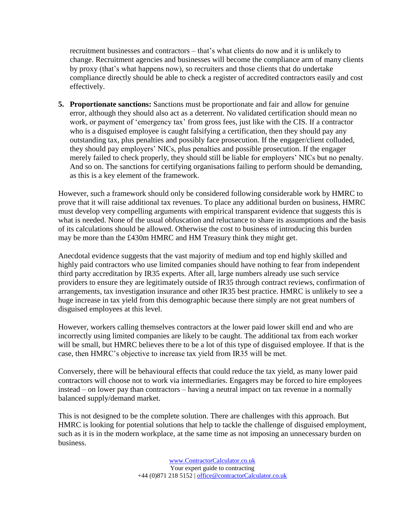recruitment businesses and contractors – that's what clients do now and it is unlikely to change. Recruitment agencies and businesses will become the compliance arm of many clients by proxy (that's what happens now), so recruiters and those clients that do undertake compliance directly should be able to check a register of accredited contractors easily and cost effectively.

**5. Proportionate sanctions:** Sanctions must be proportionate and fair and allow for genuine error, although they should also act as a deterrent. No validated certification should mean no work, or payment of 'emergency tax' from gross fees, just like with the CIS. If a contractor who is a disguised employee is caught falsifying a certification, then they should pay any outstanding tax, plus penalties and possibly face prosecution. If the engager/client colluded, they should pay employers' NICs, plus penalties and possible prosecution. If the engager merely failed to check properly, they should still be liable for employers' NICs but no penalty. And so on. The sanctions for certifying organisations failing to perform should be demanding, as this is a key element of the framework.

However, such a framework should only be considered following considerable work by HMRC to prove that it will raise additional tax revenues. To place any additional burden on business, HMRC must develop very compelling arguments with empirical transparent evidence that suggests this is what is needed. None of the usual obfuscation and reluctance to share its assumptions and the basis of its calculations should be allowed. Otherwise the cost to business of introducing this burden may be more than the £430m HMRC and HM Treasury think they might get.

Anecdotal evidence suggests that the vast majority of medium and top end highly skilled and highly paid contractors who use limited companies should have nothing to fear from independent third party accreditation by IR35 experts. After all, large numbers already use such service providers to ensure they are legitimately outside of IR35 through contract reviews, confirmation of arrangements, tax investigation insurance and other IR35 best practice. HMRC is unlikely to see a huge increase in tax yield from this demographic because there simply are not great numbers of disguised employees at this level.

However, workers calling themselves contractors at the lower paid lower skill end and who are incorrectly using limited companies are likely to be caught. The additional tax from each worker will be small, but HMRC believes there to be a lot of this type of disguised employee. If that is the case, then HMRC's objective to increase tax yield from IR35 will be met.

Conversely, there will be behavioural effects that could reduce the tax yield, as many lower paid contractors will choose not to work via intermediaries. Engagers may be forced to hire employees instead – on lower pay than contractors – having a neutral impact on tax revenue in a normally balanced supply/demand market.

This is not designed to be the complete solution. There are challenges with this approach. But HMRC is looking for potential solutions that help to tackle the challenge of disguised employment, such as it is in the modern workplace, at the same time as not imposing an unnecessary burden on business.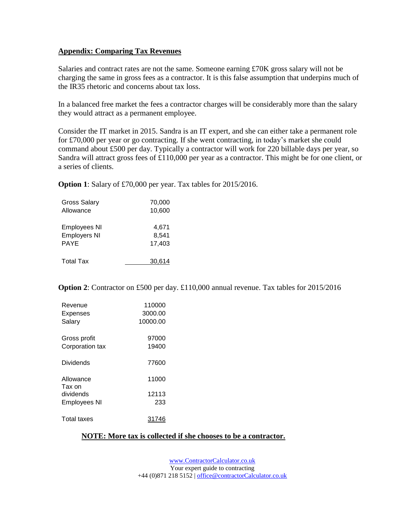### **Appendix: Comparing Tax Revenues**

Salaries and contract rates are not the same. Someone earning £70K gross salary will not be charging the same in gross fees as a contractor. It is this false assumption that underpins much of the IR35 rhetoric and concerns about tax loss.

In a balanced free market the fees a contractor charges will be considerably more than the salary they would attract as a permanent employee.

Consider the IT market in 2015. Sandra is an IT expert, and she can either take a permanent role for £70,000 per year or go contracting. If she went contracting, in today's market she could command about £500 per day. Typically a contractor will work for 220 billable days per year, so Sandra will attract gross fees of £110,000 per year as a contractor. This might be for one client, or a series of clients.

**Option 1**: Salary of £70,000 per year. Tax tables for 2015/2016.

| <b>Gross Salary</b> | 70,000 |
|---------------------|--------|
| Allowance           | 10,600 |
| <b>Employees NI</b> | 4,671  |
| <b>Employers NI</b> | 8.541  |
| <b>PAYE</b>         | 17,403 |
| <b>Total Tax</b>    | 30.614 |

**Option 2**: Contractor on £500 per day. £110,000 annual revenue. Tax tables for 2015/2016

| Revenue             | 110000   |
|---------------------|----------|
| Expenses            | 3000.00  |
| Salary              | 10000.00 |
| Gross profit        | 97000    |
| Corporation tax     | 19400    |
| Dividends           | 77600    |
| Allowance<br>Tax on | 11000    |
| dividends           | 12113    |
| <b>Employees NI</b> | 233      |
| <b>Total taxes</b>  | 31746    |

### **NOTE: More tax is collected if she chooses to be a contractor.**